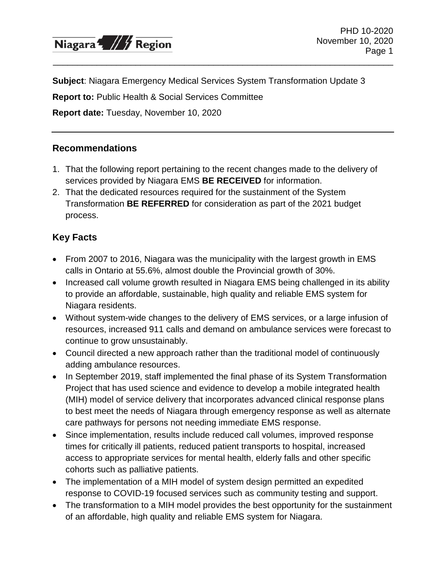

**Subject**: Niagara Emergency Medical Services System Transformation Update 3

\_\_\_\_\_\_\_\_\_\_\_\_\_\_\_\_\_\_\_\_\_\_\_\_\_\_\_\_\_\_\_\_\_\_\_\_\_\_\_\_\_\_\_\_\_\_\_\_\_\_\_\_\_\_\_\_\_\_\_\_\_\_\_\_\_\_\_\_\_\_

**Report to:** Public Health & Social Services Committee

**Report date:** Tuesday, November 10, 2020

#### **Recommendations**

- 1. That the following report pertaining to the recent changes made to the delivery of services provided by Niagara EMS **BE RECEIVED** for information.
- 2. That the dedicated resources required for the sustainment of the System Transformation **BE REFERRED** for consideration as part of the 2021 budget process.

## **Key Facts**

- From 2007 to 2016, Niagara was the municipality with the largest growth in EMS calls in Ontario at 55.6%, almost double the Provincial growth of 30%.
- Increased call volume growth resulted in Niagara EMS being challenged in its ability to provide an affordable, sustainable, high quality and reliable EMS system for Niagara residents.
- Without system-wide changes to the delivery of EMS services, or a large infusion of resources, increased 911 calls and demand on ambulance services were forecast to continue to grow unsustainably.
- Council directed a new approach rather than the traditional model of continuously adding ambulance resources.
- In September 2019, staff implemented the final phase of its System Transformation Project that has used science and evidence to develop a mobile integrated health (MIH) model of service delivery that incorporates advanced clinical response plans to best meet the needs of Niagara through emergency response as well as alternate care pathways for persons not needing immediate EMS response.
- Since implementation, results include reduced call volumes, improved response times for critically ill patients, reduced patient transports to hospital, increased access to appropriate services for mental health, elderly falls and other specific cohorts such as palliative patients.
- The implementation of a MIH model of system design permitted an expedited response to COVID-19 focused services such as community testing and support.
- The transformation to a MIH model provides the best opportunity for the sustainment of an affordable, high quality and reliable EMS system for Niagara.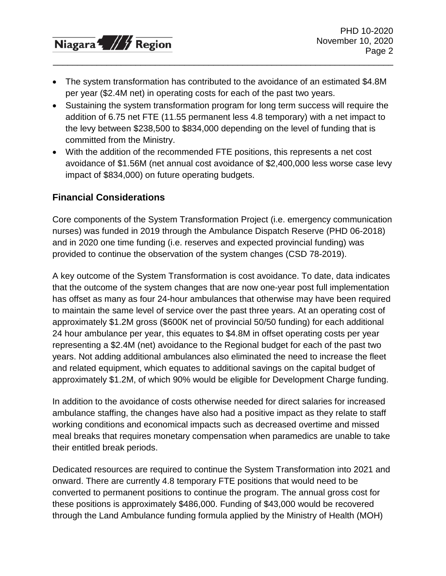Niagara<sup>4</sup>, /// Region

• The system transformation has contributed to the avoidance of an estimated \$4.8M per year (\$2.4M net) in operating costs for each of the past two years.

\_\_\_\_\_\_\_\_\_\_\_\_\_\_\_\_\_\_\_\_\_\_\_\_\_\_\_\_\_\_\_\_\_\_\_\_\_\_\_\_\_\_\_\_\_\_\_\_\_\_\_\_\_\_\_\_\_\_\_\_\_\_\_\_\_\_\_\_\_\_

- Sustaining the system transformation program for long term success will require the addition of 6.75 net FTE (11.55 permanent less 4.8 temporary) with a net impact to the levy between \$238,500 to \$834,000 depending on the level of funding that is committed from the Ministry.
- With the addition of the recommended FTE positions, this represents a net cost avoidance of \$1.56M (net annual cost avoidance of \$2,400,000 less worse case levy impact of \$834,000) on future operating budgets.

## **Financial Considerations**

Core components of the System Transformation Project (i.e. emergency communication nurses) was funded in 2019 through the Ambulance Dispatch Reserve (PHD 06-2018) and in 2020 one time funding (i.e. reserves and expected provincial funding) was provided to continue the observation of the system changes (CSD 78-2019).

A key outcome of the System Transformation is cost avoidance. To date, data indicates that the outcome of the system changes that are now one-year post full implementation has offset as many as four 24-hour ambulances that otherwise may have been required to maintain the same level of service over the past three years. At an operating cost of approximately \$1.2M gross (\$600K net of provincial 50/50 funding) for each additional 24 hour ambulance per year, this equates to \$4.8M in offset operating costs per year representing a \$2.4M (net) avoidance to the Regional budget for each of the past two years. Not adding additional ambulances also eliminated the need to increase the fleet and related equipment, which equates to additional savings on the capital budget of approximately \$1.2M, of which 90% would be eligible for Development Charge funding.

In addition to the avoidance of costs otherwise needed for direct salaries for increased ambulance staffing, the changes have also had a positive impact as they relate to staff working conditions and economical impacts such as decreased overtime and missed meal breaks that requires monetary compensation when paramedics are unable to take their entitled break periods.

Dedicated resources are required to continue the System Transformation into 2021 and onward. There are currently 4.8 temporary FTE positions that would need to be converted to permanent positions to continue the program. The annual gross cost for these positions is approximately \$486,000. Funding of \$43,000 would be recovered through the Land Ambulance funding formula applied by the Ministry of Health (MOH)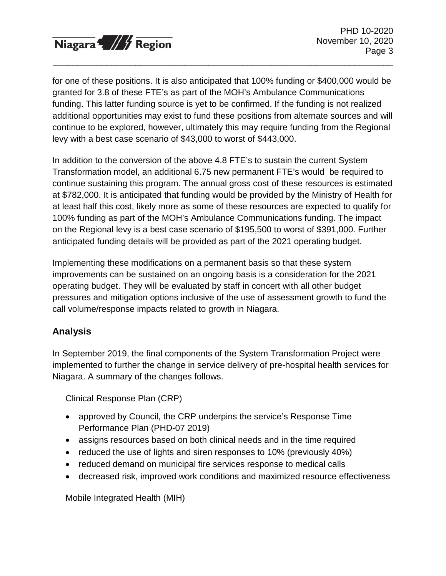

for one of these positions. It is also anticipated that 100% funding or \$400,000 would be granted for 3.8 of these FTE's as part of the MOH's Ambulance Communications funding. This latter funding source is yet to be confirmed. If the funding is not realized additional opportunities may exist to fund these positions from alternate sources and will continue to be explored, however, ultimately this may require funding from the Regional levy with a best case scenario of \$43,000 to worst of \$443,000.

\_\_\_\_\_\_\_\_\_\_\_\_\_\_\_\_\_\_\_\_\_\_\_\_\_\_\_\_\_\_\_\_\_\_\_\_\_\_\_\_\_\_\_\_\_\_\_\_\_\_\_\_\_\_\_\_\_\_\_\_\_\_\_\_\_\_\_\_\_\_

In addition to the conversion of the above 4.8 FTE's to sustain the current System Transformation model, an additional 6.75 new permanent FTE's would be required to continue sustaining this program. The annual gross cost of these resources is estimated at \$782,000. It is anticipated that funding would be provided by the Ministry of Health for at least half this cost, likely more as some of these resources are expected to qualify for 100% funding as part of the MOH's Ambulance Communications funding. The impact on the Regional levy is a best case scenario of \$195,500 to worst of \$391,000. Further anticipated funding details will be provided as part of the 2021 operating budget.

Implementing these modifications on a permanent basis so that these system improvements can be sustained on an ongoing basis is a consideration for the 2021 operating budget. They will be evaluated by staff in concert with all other budget pressures and mitigation options inclusive of the use of assessment growth to fund the call volume/response impacts related to growth in Niagara.

# **Analysis**

In September 2019, the final components of the System Transformation Project were implemented to further the change in service delivery of pre-hospital health services for Niagara. A summary of the changes follows.

Clinical Response Plan (CRP)

- approved by Council, the CRP underpins the service's Response Time Performance Plan (PHD-07 2019)
- assigns resources based on both clinical needs and in the time required
- reduced the use of lights and siren responses to 10% (previously 40%)
- reduced demand on municipal fire services response to medical calls
- decreased risk, improved work conditions and maximized resource effectiveness

Mobile Integrated Health (MIH)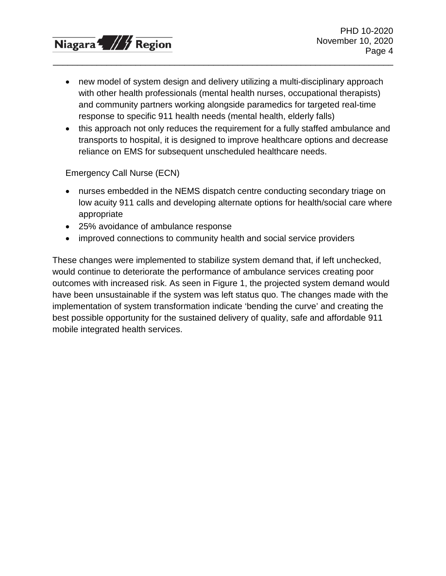

• new model of system design and delivery utilizing a multi-disciplinary approach with other health professionals (mental health nurses, occupational therapists) and community partners working alongside paramedics for targeted real-time response to specific 911 health needs (mental health, elderly falls)

\_\_\_\_\_\_\_\_\_\_\_\_\_\_\_\_\_\_\_\_\_\_\_\_\_\_\_\_\_\_\_\_\_\_\_\_\_\_\_\_\_\_\_\_\_\_\_\_\_\_\_\_\_\_\_\_\_\_\_\_\_\_\_\_\_\_\_\_\_\_

• this approach not only reduces the requirement for a fully staffed ambulance and transports to hospital, it is designed to improve healthcare options and decrease reliance on EMS for subsequent unscheduled healthcare needs.

Emergency Call Nurse (ECN)

- nurses embedded in the NEMS dispatch centre conducting secondary triage on low acuity 911 calls and developing alternate options for health/social care where appropriate
- 25% avoidance of ambulance response
- improved connections to community health and social service providers

These changes were implemented to stabilize system demand that, if left unchecked, would continue to deteriorate the performance of ambulance services creating poor outcomes with increased risk. As seen in Figure 1, the projected system demand would have been unsustainable if the system was left status quo. The changes made with the implementation of system transformation indicate 'bending the curve' and creating the best possible opportunity for the sustained delivery of quality, safe and affordable 911 mobile integrated health services.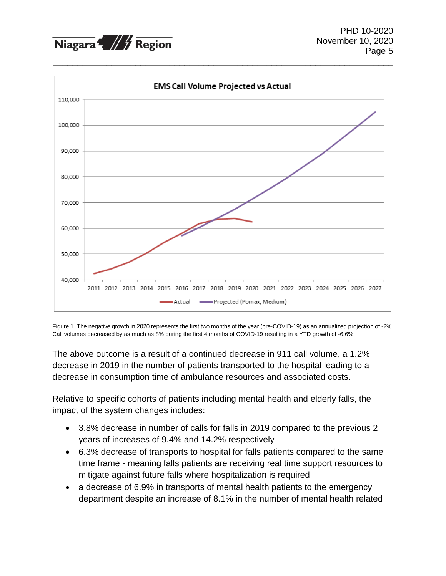



Figure 1. The negative growth in 2020 represents the first two months of the year (pre-COVID-19) as an annualized projection of -2%. Call volumes decreased by as much as 8% during the first 4 months of COVID-19 resulting in a YTD growth of -6.6%.

The above outcome is a result of a continued decrease in 911 call volume, a 1.2% decrease in 2019 in the number of patients transported to the hospital leading to a decrease in consumption time of ambulance resources and associated costs.

Relative to specific cohorts of patients including mental health and elderly falls, the impact of the system changes includes:

- 3.8% decrease in number of calls for falls in 2019 compared to the previous 2 years of increases of 9.4% and 14.2% respectively
- 6.3% decrease of transports to hospital for falls patients compared to the same time frame - meaning falls patients are receiving real time support resources to mitigate against future falls where hospitalization is required
- a decrease of 6.9% in transports of mental health patients to the emergency department despite an increase of 8.1% in the number of mental health related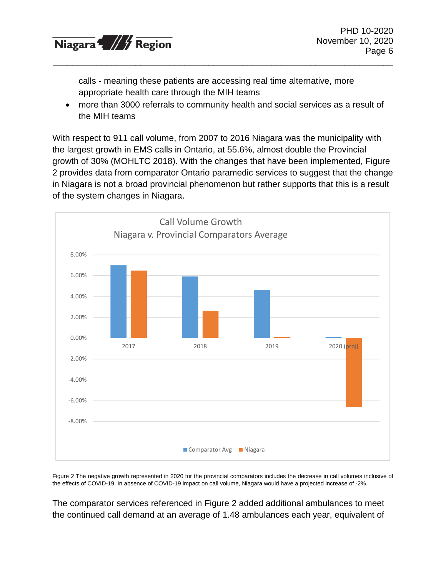

calls - meaning these patients are accessing real time alternative, more appropriate health care through the MIH teams

\_\_\_\_\_\_\_\_\_\_\_\_\_\_\_\_\_\_\_\_\_\_\_\_\_\_\_\_\_\_\_\_\_\_\_\_\_\_\_\_\_\_\_\_\_\_\_\_\_\_\_\_\_\_\_\_\_\_\_\_\_\_\_\_\_\_\_\_\_\_

• more than 3000 referrals to community health and social services as a result of the MIH teams

With respect to 911 call volume, from 2007 to 2016 Niagara was the municipality with the largest growth in EMS calls in Ontario, at 55.6%, almost double the Provincial growth of 30% (MOHLTC 2018). With the changes that have been implemented, Figure 2 provides data from comparator Ontario paramedic services to suggest that the change in Niagara is not a broad provincial phenomenon but rather supports that this is a result of the system changes in Niagara.



Figure 2 The negative growth represented in 2020 for the provincial comparators includes the decrease in call volumes inclusive of the effects of COVID-19. In absence of COVID-19 impact on call volume, Niagara would have a projected increase of -2%.

The comparator services referenced in Figure 2 added additional ambulances to meet the continued call demand at an average of 1.48 ambulances each year, equivalent of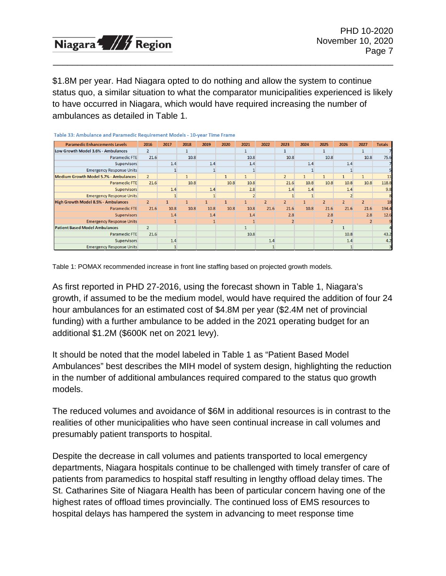

\$1.8M per year. Had Niagara opted to do nothing and allow the system to continue status quo, a similar situation to what the comparator municipalities experienced is likely to have occurred in Niagara, which would have required increasing the number of ambulances as detailed in Table 1.

\_\_\_\_\_\_\_\_\_\_\_\_\_\_\_\_\_\_\_\_\_\_\_\_\_\_\_\_\_\_\_\_\_\_\_\_\_\_\_\_\_\_\_\_\_\_\_\_\_\_\_\_\_\_\_\_\_\_\_\_\_\_\_\_\_\_\_\_\_\_

| Table 33: Ambulance and Paramedic Requirement Models - 10-year Time Frame |                |      |              |              |      |                |                |                |              |                |                |                |               |
|---------------------------------------------------------------------------|----------------|------|--------------|--------------|------|----------------|----------------|----------------|--------------|----------------|----------------|----------------|---------------|
| <b>Paramedic Enhancements Levels</b>                                      | 2016           | 2017 | 2018         | 2019         | 2020 | 2021           | 2022           | 2023           | 2024         | 2025           | 2026           | 2027           | <b>Totals</b> |
| Low Growth Model 3.6% - Ambulances                                        | $\overline{2}$ |      | 1            |              |      | $\mathbf{1}$   |                |                |              | 1              |                | 1              |               |
| Paramedic FTE                                                             | 21.6           |      | 10.8         |              |      | 10.8           |                | 10.8           |              | 10.8           |                | 10.8           | 75.6          |
| <b>Supervisors</b>                                                        |                | 1.4  |              | 1.4          |      | 1.4            |                |                | 1.4          |                | 1.4            |                |               |
| <b>Emergency Response Units</b>                                           |                |      |              |              |      |                |                |                |              |                |                |                |               |
| Medium Growth Model 5.7% - Ambulances                                     | $\overline{2}$ |      | $\mathbf{1}$ |              |      | $\mathbf{1}$   |                | $\overline{2}$ | $\mathbf{1}$ | $\mathbf{1}$   |                |                | 11            |
| Paramedic FTE                                                             | 21.6           |      | 10.8         |              | 10.8 | 10.8           |                | 21.6           | 10.8         | 10.8           | 10.8           | 10.8           | 118.8         |
| <b>Supervisors</b>                                                        |                | 1.4  |              | 1.4          |      | 2.8            |                | 1.4            | 1.4          |                | 1.4            |                | 9.8           |
| <b>Emergency Response Units</b>                                           |                |      |              |              |      | $\overline{2}$ |                |                |              |                |                |                |               |
| <b>High Growth Model 8.5% - Ambulances</b>                                | 2 <sup>2</sup> |      | $\mathbf{1}$ | $\mathbf{1}$ |      | $\mathbf{1}$   | $\overline{2}$ | $\overline{2}$ |              | $\overline{2}$ | $\overline{2}$ | $\overline{2}$ | 18            |
| <b>Paramedic FTE</b>                                                      | 21.6           | 10.8 | 10.8         | 10.8         | 10.8 | 10.8           | 21.6           | 21.6           | 10.8         | 21.6           | 21.6           | 21.6           | 194.4         |
| <b>Supervisors</b>                                                        |                | 1.4  |              | 1.4          |      | 1.4            |                | 2.8            |              | 2.8            |                | 2.8            | 12.6          |
| <b>Emergency Response Units</b>                                           |                |      |              |              |      |                |                |                |              |                |                | $\overline{2}$ |               |
| <b>Patient Based Model Ambulances</b>                                     | 2 <sup>1</sup> |      |              |              |      | $\mathbf{1}$   |                |                |              |                |                |                |               |
| <b>Paramedic FTE</b>                                                      | 21.6           |      |              |              |      | 10.8           |                |                |              |                | 10.8           |                | 43.2          |
| <b>Supervisors</b>                                                        |                | 1.4  |              |              |      |                | 1.4            |                |              |                | 1.4            |                | 4.2           |
| <b>Emergency Response Units</b>                                           |                |      |              |              |      |                |                |                |              |                |                |                |               |

Table 1: POMAX recommended increase in front line staffing based on projected growth models.

As first reported in PHD 27-2016, using the forecast shown in Table 1, Niagara's growth, if assumed to be the medium model, would have required the addition of four 24 hour ambulances for an estimated cost of \$4.8M per year (\$2.4M net of provincial funding) with a further ambulance to be added in the 2021 operating budget for an additional \$1.2M (\$600K net on 2021 levy).

It should be noted that the model labeled in Table 1 as "Patient Based Model Ambulances" best describes the MIH model of system design, highlighting the reduction in the number of additional ambulances required compared to the status quo growth models.

The reduced volumes and avoidance of \$6M in additional resources is in contrast to the realities of other municipalities who have seen continual increase in call volumes and presumably patient transports to hospital.

Despite the decrease in call volumes and patients transported to local emergency departments, Niagara hospitals continue to be challenged with timely transfer of care of patients from paramedics to hospital staff resulting in lengthy offload delay times. The St. Catharines Site of Niagara Health has been of particular concern having one of the highest rates of offload times provincially. The continued loss of EMS resources to hospital delays has hampered the system in advancing to meet response time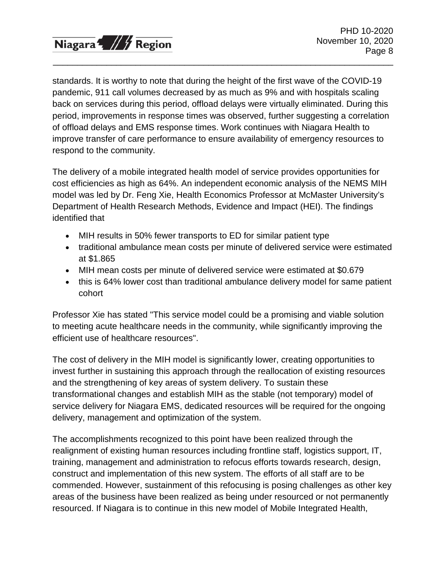

standards. It is worthy to note that during the height of the first wave of the COVID-19 pandemic, 911 call volumes decreased by as much as 9% and with hospitals scaling back on services during this period, offload delays were virtually eliminated. During this period, improvements in response times was observed, further suggesting a correlation of offload delays and EMS response times. Work continues with Niagara Health to improve transfer of care performance to ensure availability of emergency resources to respond to the community.

\_\_\_\_\_\_\_\_\_\_\_\_\_\_\_\_\_\_\_\_\_\_\_\_\_\_\_\_\_\_\_\_\_\_\_\_\_\_\_\_\_\_\_\_\_\_\_\_\_\_\_\_\_\_\_\_\_\_\_\_\_\_\_\_\_\_\_\_\_\_

The delivery of a mobile integrated health model of service provides opportunities for cost efficiencies as high as 64%. An independent economic analysis of the NEMS MIH model was led by Dr. Feng Xie, Health Economics Professor at McMaster University's Department of Health Research Methods, Evidence and Impact (HEI). The findings identified that

- MIH results in 50% fewer transports to ED for similar patient type
- traditional ambulance mean costs per minute of delivered service were estimated at \$1.865
- MIH mean costs per minute of delivered service were estimated at \$0.679
- this is 64% lower cost than traditional ambulance delivery model for same patient cohort

Professor Xie has stated "This service model could be a promising and viable solution to meeting acute healthcare needs in the community, while significantly improving the efficient use of healthcare resources".

The cost of delivery in the MIH model is significantly lower, creating opportunities to invest further in sustaining this approach through the reallocation of existing resources and the strengthening of key areas of system delivery. To sustain these transformational changes and establish MIH as the stable (not temporary) model of service delivery for Niagara EMS, dedicated resources will be required for the ongoing delivery, management and optimization of the system.

The accomplishments recognized to this point have been realized through the realignment of existing human resources including frontline staff, logistics support, IT, training, management and administration to refocus efforts towards research, design, construct and implementation of this new system. The efforts of all staff are to be commended. However, sustainment of this refocusing is posing challenges as other key areas of the business have been realized as being under resourced or not permanently resourced. If Niagara is to continue in this new model of Mobile Integrated Health,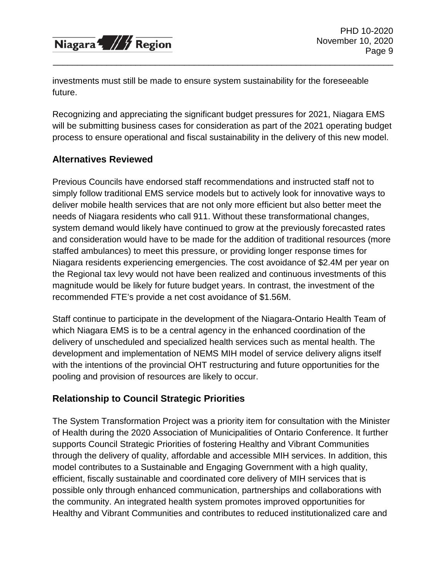

investments must still be made to ensure system sustainability for the foreseeable future.

Recognizing and appreciating the significant budget pressures for 2021, Niagara EMS will be submitting business cases for consideration as part of the 2021 operating budget process to ensure operational and fiscal sustainability in the delivery of this new model.

\_\_\_\_\_\_\_\_\_\_\_\_\_\_\_\_\_\_\_\_\_\_\_\_\_\_\_\_\_\_\_\_\_\_\_\_\_\_\_\_\_\_\_\_\_\_\_\_\_\_\_\_\_\_\_\_\_\_\_\_\_\_\_\_\_\_\_\_\_\_

### **Alternatives Reviewed**

Previous Councils have endorsed staff recommendations and instructed staff not to simply follow traditional EMS service models but to actively look for innovative ways to deliver mobile health services that are not only more efficient but also better meet the needs of Niagara residents who call 911. Without these transformational changes, system demand would likely have continued to grow at the previously forecasted rates and consideration would have to be made for the addition of traditional resources (more staffed ambulances) to meet this pressure, or providing longer response times for Niagara residents experiencing emergencies. The cost avoidance of \$2.4M per year on the Regional tax levy would not have been realized and continuous investments of this magnitude would be likely for future budget years. In contrast, the investment of the recommended FTE's provide a net cost avoidance of \$1.56M.

Staff continue to participate in the development of the Niagara-Ontario Health Team of which Niagara EMS is to be a central agency in the enhanced coordination of the delivery of unscheduled and specialized health services such as mental health. The development and implementation of NEMS MIH model of service delivery aligns itself with the intentions of the provincial OHT restructuring and future opportunities for the pooling and provision of resources are likely to occur.

# **Relationship to Council Strategic Priorities**

The System Transformation Project was a priority item for consultation with the Minister of Health during the 2020 Association of Municipalities of Ontario Conference. It further supports Council Strategic Priorities of fostering Healthy and Vibrant Communities through the delivery of quality, affordable and accessible MIH services. In addition, this model contributes to a Sustainable and Engaging Government with a high quality, efficient, fiscally sustainable and coordinated core delivery of MIH services that is possible only through enhanced communication, partnerships and collaborations with the community. An integrated health system promotes improved opportunities for Healthy and Vibrant Communities and contributes to reduced institutionalized care and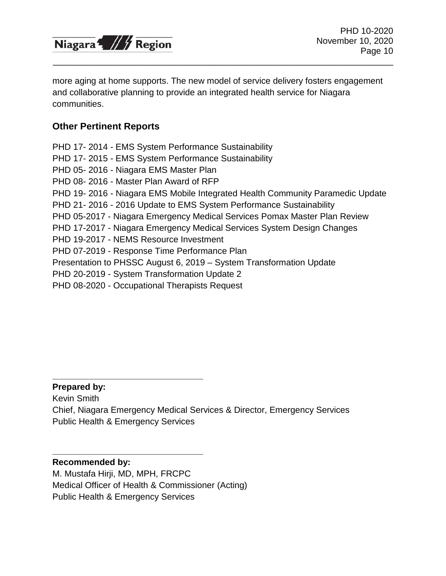

more aging at home supports. The new model of service delivery fosters engagement and collaborative planning to provide an integrated health service for Niagara communities.

\_\_\_\_\_\_\_\_\_\_\_\_\_\_\_\_\_\_\_\_\_\_\_\_\_\_\_\_\_\_\_\_\_\_\_\_\_\_\_\_\_\_\_\_\_\_\_\_\_\_\_\_\_\_\_\_\_\_\_\_\_\_\_\_\_\_\_\_\_\_

### **Other Pertinent Reports**

PHD 17- 2014 - EMS System Performance Sustainability PHD 17- 2015 - EMS System Performance Sustainability PHD 05- 2016 - Niagara EMS Master Plan PHD 08- 2016 - Master Plan Award of RFP PHD 19- 2016 - Niagara EMS Mobile Integrated Health Community Paramedic Update PHD 21- 2016 - 2016 Update to EMS System Performance Sustainability PHD 05-2017 - Niagara Emergency Medical Services Pomax Master Plan Review PHD 17-2017 - Niagara Emergency Medical Services System Design Changes PHD 19-2017 - NEMS Resource Investment PHD 07-2019 - Response Time Performance Plan Presentation to PHSSC August 6, 2019 – System Transformation Update PHD 20-2019 - System Transformation Update 2 PHD 08-2020 - Occupational Therapists Request

### **Prepared by:**

Kevin Smith Chief, Niagara Emergency Medical Services & Director, Emergency Services Public Health & Emergency Services

### **Recommended by:**

M. Mustafa Hirji, MD, MPH, FRCPC Medical Officer of Health & Commissioner (Acting) Public Health & Emergency Services

**\_\_\_\_\_\_\_\_\_\_\_\_\_\_\_\_\_\_\_\_\_\_\_\_\_\_\_\_\_\_\_**

**\_\_\_\_\_\_\_\_\_\_\_\_\_\_\_\_\_\_\_\_\_\_\_\_\_\_\_\_\_\_\_**